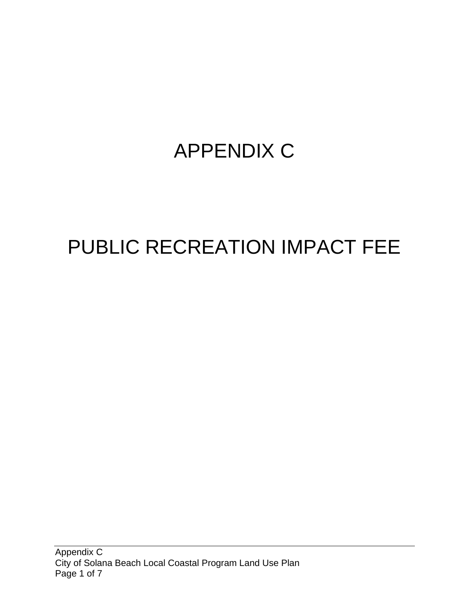## APPENDIX C

# PUBLIC RECREATION IMPACT FEE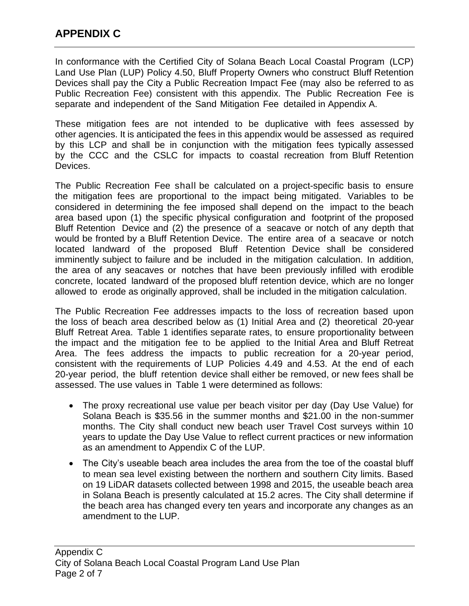In conformance with the Certified City of Solana Beach Local Coastal Program (LCP) Land Use Plan (LUP) Policy 4.50, Bluff Property Owners who construct Bluff Retention Devices shall pay the City a Public Recreation Impact Fee (may also be referred to as Public Recreation Fee) consistent with this appendix. The Public Recreation Fee is separate and independent of the Sand Mitigation Fee detailed in Appendix A.

These mitigation fees are not intended to be duplicative with fees assessed by other agencies. It is anticipated the fees in this appendix would be assessed as required by this LCP and shall be in conjunction with the mitigation fees typically assessed by the CCC and the CSLC for impacts to coastal recreation from Bluff Retention Devices.

The Public Recreation Fee shall be calculated on a project-specific basis to ensure the mitigation fees are proportional to the impact being mitigated. Variables to be considered in determining the fee imposed shall depend on the impact to the beach area based upon (1) the specific physical configuration and footprint of the proposed Bluff Retention Device and (2) the presence of a seacave or notch of any depth that would be fronted by a Bluff Retention Device. The entire area of a seacave or notch located landward of the proposed Bluff Retention Device shall be considered imminently subject to failure and be included in the mitigation calculation. In addition, the area of any seacaves or notches that have been previously infilled with erodible concrete, located landward of the proposed bluff retention device, which are no longer allowed to erode as originally approved, shall be included in the mitigation calculation.

The Public Recreation Fee addresses impacts to the loss of recreation based upon the loss of beach area described below as (1) Initial Area and (2) theoretical 20-year Bluff Retreat Area. Table 1 identifies separate rates, to ensure proportionality between the impact and the mitigation fee to be applied to the Initial Area and Bluff Retreat Area. The fees address the impacts to public recreation for a 20-year period, consistent with the requirements of LUP Policies 4.49 and 4.53. At the end of each 20-year period, the bluff retention device shall either be removed, or new fees shall be assessed. The use values in Table 1 were determined as follows:

- The proxy recreational use value per beach visitor per day (Day Use Value) for Solana Beach is \$35.56 in the summer months and \$21.00 in the non-summer months. The City shall conduct new beach user Travel Cost surveys within 10 years to update the Day Use Value to reflect current practices or new information as an amendment to Appendix C of the LUP.
- The City's useable beach area includes the area from the toe of the coastal bluff to mean sea level existing between the northern and southern City limits. Based on 19 LiDAR datasets collected between 1998 and 2015, the useable beach area in Solana Beach is presently calculated at 15.2 acres. The City shall determine if the beach area has changed every ten years and incorporate any changes as an amendment to the LUP.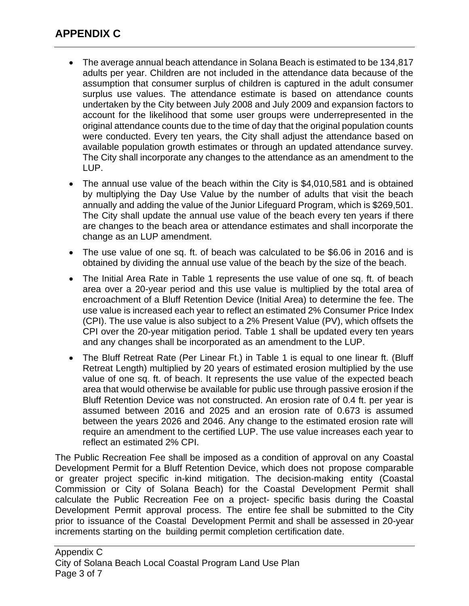- The average annual beach attendance in Solana Beach is estimated to be 134,817 adults per year. Children are not included in the attendance data because of the assumption that consumer surplus of children is captured in the adult consumer surplus use values. The attendance estimate is based on attendance counts undertaken by the City between July 2008 and July 2009 and expansion factors to account for the likelihood that some user groups were underrepresented in the original attendance counts due to the time of day that the original population counts were conducted. Every ten years, the City shall adjust the attendance based on available population growth estimates or through an updated attendance survey. The City shall incorporate any changes to the attendance as an amendment to the LUP.
- The annual use value of the beach within the City is \$4,010,581 and is obtained by multiplying the Day Use Value by the number of adults that visit the beach annually and adding the value of the Junior Lifeguard Program, which is \$269,501. The City shall update the annual use value of the beach every ten years if there are changes to the beach area or attendance estimates and shall incorporate the change as an LUP amendment.
- The use value of one sq. ft. of beach was calculated to be \$6.06 in 2016 and is obtained by dividing the annual use value of the beach by the size of the beach.
- The Initial Area Rate in Table 1 represents the use value of one sq. ft. of beach area over a 20-year period and this use value is multiplied by the total area of encroachment of a Bluff Retention Device (Initial Area) to determine the fee. The use value is increased each year to reflect an estimated 2% Consumer Price Index (CPI). The use value is also subject to a 2% Present Value (PV), which offsets the CPI over the 20-year mitigation period. Table 1 shall be updated every ten years and any changes shall be incorporated as an amendment to the LUP.
- The Bluff Retreat Rate (Per Linear Ft.) in Table 1 is equal to one linear ft. (Bluff Retreat Length) multiplied by 20 years of estimated erosion multiplied by the use value of one sq. ft. of beach. It represents the use value of the expected beach area that would otherwise be available for public use through passive erosion if the Bluff Retention Device was not constructed. An erosion rate of 0.4 ft. per year is assumed between 2016 and 2025 and an erosion rate of 0.673 is assumed between the years 2026 and 2046. Any change to the estimated erosion rate will require an amendment to the certified LUP. The use value increases each year to reflect an estimated 2% CPI.

The Public Recreation Fee shall be imposed as a condition of approval on any Coastal Development Permit for a Bluff Retention Device, which does not propose comparable or greater project specific in-kind mitigation. The decision-making entity (Coastal Commission or City of Solana Beach) for the Coastal Development Permit shall calculate the Public Recreation Fee on a project- specific basis during the Coastal Development Permit approval process. The entire fee shall be submitted to the City prior to issuance of the Coastal Development Permit and shall be assessed in 20-year increments starting on the building permit completion certification date.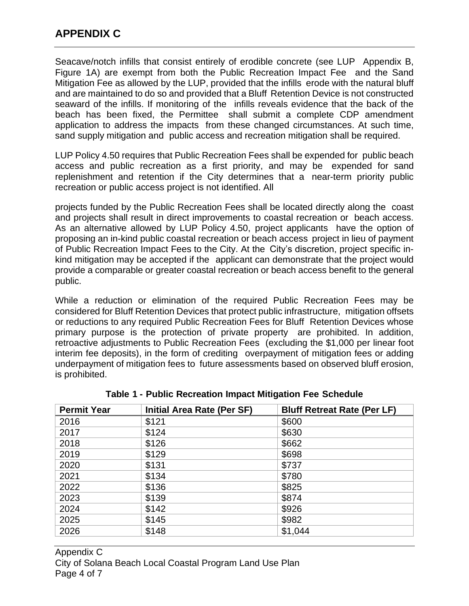Seacave/notch infills that consist entirely of erodible concrete (see LUP Appendix B, Figure 1A) are exempt from both the Public Recreation Impact Fee and the Sand Mitigation Fee as allowed by the LUP, provided that the infills erode with the natural bluff and are maintained to do so and provided that a Bluff Retention Device is not constructed seaward of the infills. If monitoring of the infills reveals evidence that the back of the beach has been fixed, the Permittee shall submit a complete CDP amendment application to address the impacts from these changed circumstances. At such time, sand supply mitigation and public access and recreation mitigation shall be required.

LUP Policy 4.50 requires that Public Recreation Fees shall be expended for public beach access and public recreation as a first priority, and may be expended for sand replenishment and retention if the City determines that a near-term priority public recreation or public access project is not identified. All

projects funded by the Public Recreation Fees shall be located directly along the coast and projects shall result in direct improvements to coastal recreation or beach access. As an alternative allowed by LUP Policy 4.50, project applicants have the option of proposing an in-kind public coastal recreation or beach access project in lieu of payment of Public Recreation Impact Fees to the City. At the City's discretion, project specific inkind mitigation may be accepted if the applicant can demonstrate that the project would provide a comparable or greater coastal recreation or beach access benefit to the general public.

While a reduction or elimination of the required Public Recreation Fees may be considered for Bluff Retention Devices that protect public infrastructure, mitigation offsets or reductions to any required Public Recreation Fees for Bluff Retention Devices whose primary purpose is the protection of private property are prohibited. In addition, retroactive adjustments to Public Recreation Fees (excluding the \$1,000 per linear foot interim fee deposits), in the form of crediting overpayment of mitigation fees or adding underpayment of mitigation fees to future assessments based on observed bluff erosion, is prohibited.

| <b>Permit Year</b> | Initial Area Rate (Per SF) | <b>Bluff Retreat Rate (Per LF)</b> |
|--------------------|----------------------------|------------------------------------|
| 2016               | \$121                      | \$600                              |
| 2017               | \$124                      | \$630                              |
| 2018               | \$126                      | \$662                              |
| 2019               | \$129                      | \$698                              |
| 2020               | \$131                      | \$737                              |
| 2021               | \$134                      | \$780                              |
| 2022               | \$136                      | \$825                              |
| 2023               | \$139                      | \$874                              |
| 2024               | \$142                      | \$926                              |
| 2025               | \$145                      | \$982                              |
| 2026               | \$148                      | \$1,044                            |

**Table 1 - Public Recreation Impact Mitigation Fee Schedule**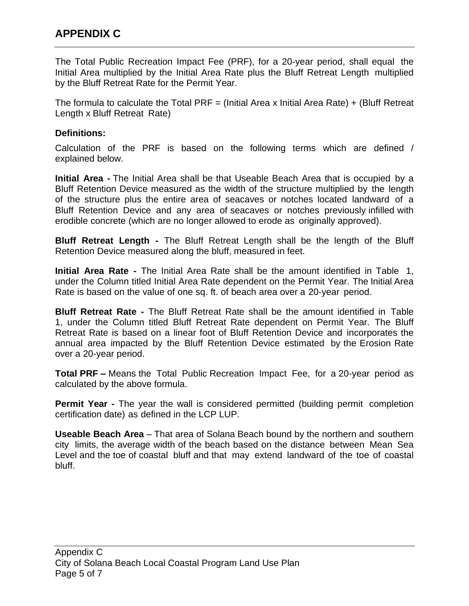The Total Public Recreation Impact Fee (PRF), for a 20-year period, shall equal the Initial Area multiplied by the Initial Area Rate plus the Bluff Retreat Length multiplied by the Bluff Retreat Rate for the Permit Year.

The formula to calculate the Total PRF  $=$  (Initial Area x Initial Area Rate) + (Bluff Retreat Length x Bluff Retreat Rate)

#### **Definitions:**

Calculation of the PRF is based on the following terms which are defined / explained below.

**Initial Area -** The Initial Area shall be that Useable Beach Area that is occupied by a Bluff Retention Device measured as the width of the structure multiplied by the length of the structure plus the entire area of seacaves or notches located landward of a Bluff Retention Device and any area of seacaves or notches previously infilled with erodible concrete (which are no longer allowed to erode as originally approved).

**Bluff Retreat Length -** The Bluff Retreat Length shall be the length of the Bluff Retention Device measured along the bluff, measured in feet.

**Initial Area Rate -** The Initial Area Rate shall be the amount identified in Table 1, under the Column titled Initial Area Rate dependent on the Permit Year. The Initial Area Rate is based on the value of one sq. ft. of beach area over a 20-year period.

**Bluff Retreat Rate -** The Bluff Retreat Rate shall be the amount identified in Table 1, under the Column titled Bluff Retreat Rate dependent on Permit Year. The Bluff Retreat Rate is based on a linear foot of Bluff Retention Device and incorporates the annual area impacted by the Bluff Retention Device estimated by the Erosion Rate over a 20-year period.

**Total PRF –** Means the Total Public Recreation Impact Fee, for a 20-year period as calculated by the above formula.

**Permit Year -** The year the wall is considered permitted (building permit completion certification date) as defined in the LCP LUP.

**Useable Beach Area** – That area of Solana Beach bound by the northern and southern city limits, the average width of the beach based on the distance between Mean Sea Level and the toe of coastal bluff and that may extend landward of the toe of coastal bluff.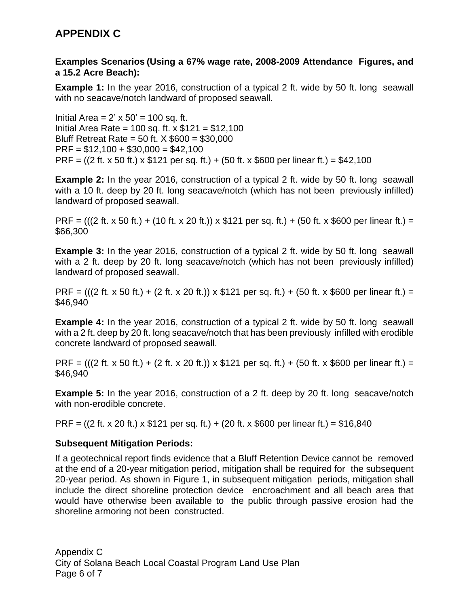#### **Examples Scenarios (Using a 67% wage rate, 2008-2009 Attendance Figures, and a 15.2 Acre Beach):**

**Example 1:** In the year 2016, construction of a typical 2 ft. wide by 50 ft. long seawall with no seacave/notch landward of proposed seawall.

Initial Area =  $2' \times 50' = 100$  sq. ft. Initial Area Rate = 100 sq. ft. x \$121 = \$12,100 Bluff Retreat Rate = 50 ft. X \$600 = \$30,000  $PRF = $12,100 + $30,000 = $42,100$ PRF = ((2 ft. x 50 ft.) x  $$121$  per sq. ft.) + (50 ft. x  $$600$  per linear ft.) =  $$42,100$ 

**Example 2:** In the year 2016, construction of a typical 2 ft. wide by 50 ft. long seawall with a 10 ft. deep by 20 ft. long seacave/notch (which has not been previously infilled) landward of proposed seawall.

PRF = (((2 ft. x 50 ft.) + (10 ft. x 20 ft.)) x \$121 per sq. ft.) + (50 ft. x \$600 per linear ft.) = \$66,300

**Example 3:** In the year 2016, construction of a typical 2 ft. wide by 50 ft. long seawall with a 2 ft. deep by 20 ft. long seacave/notch (which has not been previously infilled) landward of proposed seawall.

PRF = (((2 ft. x 50 ft.) + (2 ft. x 20 ft.)) x \$121 per sq. ft.) + (50 ft. x \$600 per linear ft.) = \$46,940

**Example 4:** In the year 2016, construction of a typical 2 ft. wide by 50 ft. long seawall with a 2 ft. deep by 20 ft. long seacave/notch that has been previously infilled with erodible concrete landward of proposed seawall.

PRF = (((2 ft. x 50 ft.) + (2 ft. x 20 ft.)) x \$121 per sq. ft.) + (50 ft. x \$600 per linear ft.) = \$46,940

**Example 5:** In the year 2016, construction of a 2 ft. deep by 20 ft. long seacave/notch with non-erodible concrete.

PRF = ((2 ft. x 20 ft.) x \$121 per sq. ft.) + (20 ft. x \$600 per linear ft.) = \$16,840

### **Subsequent Mitigation Periods:**

If a geotechnical report finds evidence that a Bluff Retention Device cannot be removed at the end of a 20-year mitigation period, mitigation shall be required for the subsequent 20-year period. As shown in Figure 1, in subsequent mitigation periods, mitigation shall include the direct shoreline protection device encroachment and all beach area that would have otherwise been available to the public through passive erosion had the shoreline armoring not been constructed.